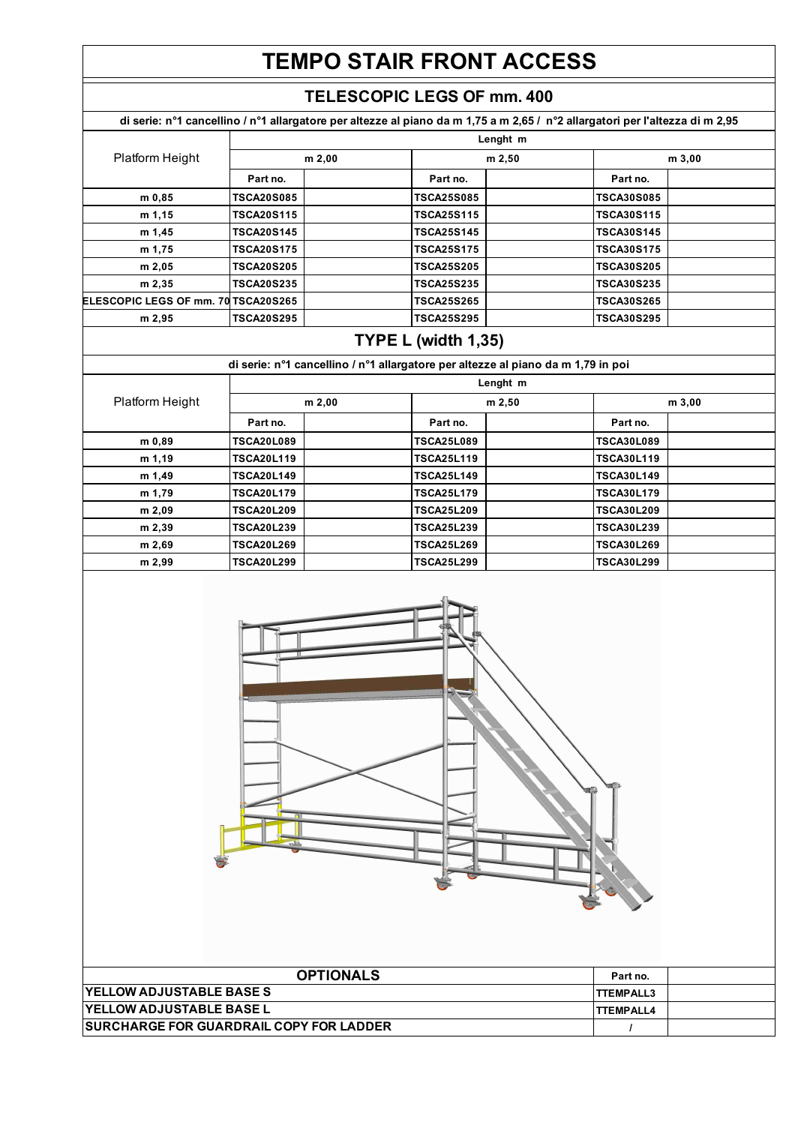# **TEMPO STAIR FRONT ACCESS**

### **TELESCOPIC LEGS OF mm. 400**

|                                                      |                                        | di serie: nº1 cancellino / nº1 allargatore per altezze al piano da m 1,75 a m 2,65 / nº2 allargatori per l'altezza di m 2,95 |                                        |          |                                        |        |
|------------------------------------------------------|----------------------------------------|------------------------------------------------------------------------------------------------------------------------------|----------------------------------------|----------|----------------------------------------|--------|
|                                                      |                                        |                                                                                                                              |                                        | Lenght m |                                        |        |
| Platform Height                                      |                                        | m 2,00                                                                                                                       |                                        | m 2,50   |                                        | m 3,00 |
|                                                      | Part no.                               |                                                                                                                              | Part no.                               |          | Part no.                               |        |
| m 0,85                                               | <b>TSCA20S085</b>                      |                                                                                                                              | <b>TSCA25S085</b>                      |          | <b>TSCA30S085</b>                      |        |
| m 1,15                                               | <b>TSCA20S115</b>                      |                                                                                                                              | <b>TSCA25S115</b>                      |          | <b>TSCA30S115</b>                      |        |
| m 1,45                                               | <b>TSCA20S145</b>                      |                                                                                                                              | <b>TSCA25S145</b>                      |          | <b>TSCA30S145</b>                      |        |
| m 1,75                                               | <b>TSCA20S175</b>                      |                                                                                                                              | <b>TSCA25S175</b>                      |          | <b>TSCA30S175</b>                      |        |
| m 2,05                                               | <b>TSCA20S205</b>                      |                                                                                                                              | <b>TSCA25S205</b>                      |          | <b>TSCA30S205</b>                      |        |
| m 2,35                                               | <b>TSCA20S235</b>                      |                                                                                                                              | <b>TSCA25S235</b>                      |          | <b>TSCA30S235</b>                      |        |
| ELESCOPIC LEGS OF mm. 70 TSCA20S265                  |                                        |                                                                                                                              | <b>TSCA25S265</b>                      |          | <b>TSCA30S265</b>                      |        |
| m 2,95                                               | <b>TSCA20S295</b>                      |                                                                                                                              | <b>TSCA25S295</b>                      |          | <b>TSCA30S295</b>                      |        |
|                                                      |                                        |                                                                                                                              | <b>TYPE L (width 1,35)</b>             |          |                                        |        |
|                                                      |                                        | di serie: n°1 cancellino / n°1 allargatore per altezze al piano da m 1,79 in poi                                             |                                        |          |                                        |        |
|                                                      |                                        |                                                                                                                              |                                        | Lenght m |                                        |        |
| Platform Height                                      |                                        | m 2,00                                                                                                                       |                                        | m 2,50   |                                        |        |
|                                                      |                                        |                                                                                                                              |                                        |          |                                        | m 3,00 |
|                                                      | Part no.                               |                                                                                                                              | Part no.                               |          | Part no.                               |        |
| m 0,89                                               | <b>TSCA20L089</b>                      |                                                                                                                              | <b>TSCA25L089</b>                      |          | <b>TSCA30L089</b>                      |        |
| m 1,19                                               | <b>TSCA20L119</b>                      |                                                                                                                              | <b>TSCA25L119</b>                      |          | <b>TSCA30L119</b>                      |        |
| m 1,49                                               | <b>TSCA20L149</b>                      |                                                                                                                              | <b>TSCA25L149</b>                      |          | <b>TSCA30L149</b>                      |        |
| m 1,79                                               | <b>TSCA20L179</b>                      |                                                                                                                              | <b>TSCA25L179</b>                      |          | <b>TSCA30L179</b>                      |        |
| m 2,09                                               | <b>TSCA20L209</b>                      |                                                                                                                              | <b>TSCA25L209</b>                      |          | <b>TSCA30L209</b>                      |        |
| m 2,39                                               | <b>TSCA20L239</b>                      |                                                                                                                              | <b>TSCA25L239</b>                      |          | <b>TSCA30L239</b>                      |        |
| m 2,69<br>m 2,99                                     | <b>TSCA20L269</b><br><b>TSCA20L299</b> |                                                                                                                              | <b>TSCA25L269</b><br><b>TSCA25L299</b> |          | <b>TSCA30L269</b><br><b>TSCA30L299</b> |        |
|                                                      |                                        |                                                                                                                              |                                        |          |                                        |        |
| YELLOW ADJUSTABLE BASE S<br>YELLOW ADJUSTABLE BASE L |                                        | <b>OPTIONALS</b>                                                                                                             |                                        |          | Part no.<br><b>TTEMPALL3</b>           |        |
| SURCHARGE FOR GUARDRAIL COPY FOR LADDER              |                                        |                                                                                                                              |                                        |          | <b>TTEMPALL4</b>                       |        |
|                                                      |                                        |                                                                                                                              |                                        |          | $\prime$                               |        |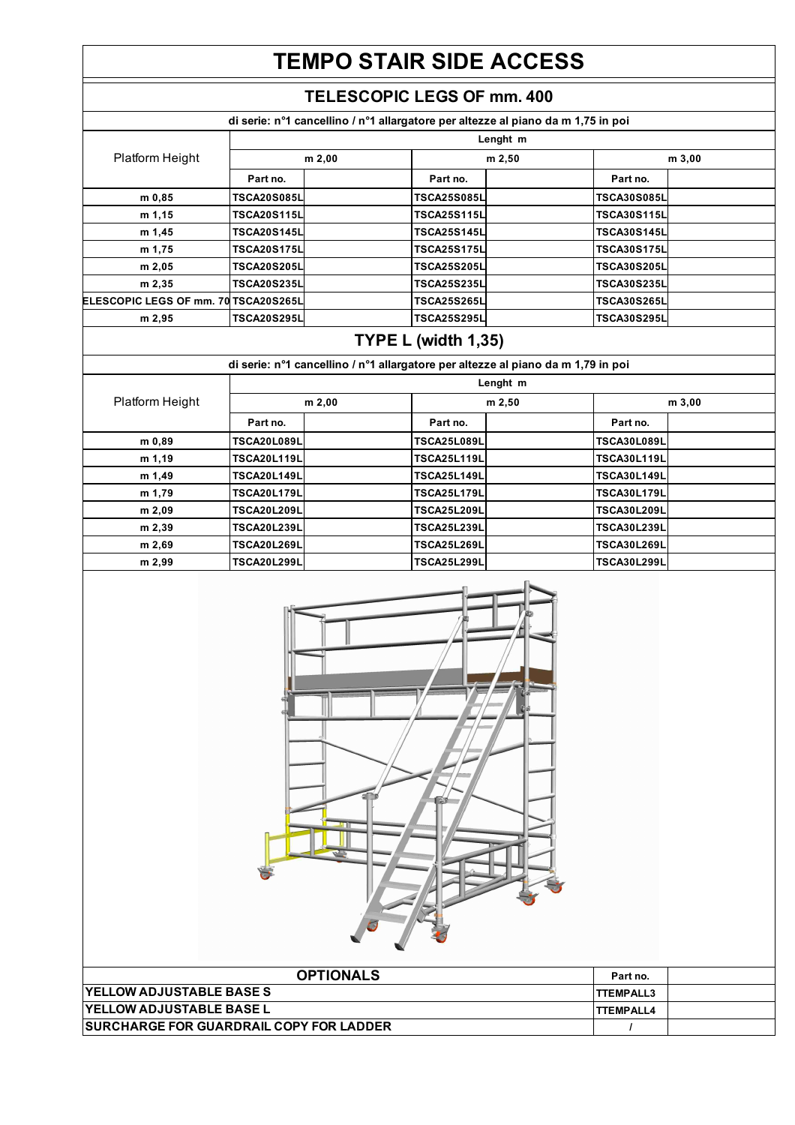## **TEMPO STAIR SIDE ACCESS**

#### **TELESCOPIC LEGS OF mm. 400**

**di serie: n°1 cancellino / n°1 allargatore per altezze al piano da m 1,75 in poi**

|                                                      | Lenght m                                 |        |                            |                                                                                  |                                          |  |  |
|------------------------------------------------------|------------------------------------------|--------|----------------------------|----------------------------------------------------------------------------------|------------------------------------------|--|--|
| Platform Height                                      | m 2,00                                   |        | m 2,50                     |                                                                                  | m 3,00                                   |  |  |
|                                                      | Part no.                                 |        | Part no.                   |                                                                                  | Part no.                                 |  |  |
| m 0,85                                               | <b>TSCA20S085L</b>                       |        | <b>TSCA25S085L</b>         |                                                                                  | <b>TSCA30S085L</b>                       |  |  |
| m 1,15                                               | <b>TSCA20S115L</b>                       |        | <b>TSCA25S115L</b>         |                                                                                  | <b>TSCA30S115L</b>                       |  |  |
| m 1,45                                               | <b>TSCA20S145L</b>                       |        | <b>TSCA25S145L</b>         |                                                                                  | <b>TSCA30S145L</b>                       |  |  |
| m 1,75                                               | <b>TSCA20S175L</b>                       |        | <b>TSCA25S175L</b>         |                                                                                  | <b>TSCA30S175L</b>                       |  |  |
| m 2,05                                               | <b>TSCA20S205L</b>                       |        | <b>TSCA25S205L</b>         |                                                                                  | <b>TSCA30S205L</b>                       |  |  |
| m 2,35                                               | <b>TSCA20S235L</b>                       |        | <b>TSCA25S235L</b>         |                                                                                  | <b>TSCA30S235L</b>                       |  |  |
| ELESCOPIC LEGS OF mm. 70 TSCA20S265L                 |                                          |        | <b>TSCA25S265L</b>         |                                                                                  | <b>TSCA30S265L</b>                       |  |  |
| m 2,95                                               | <b>TSCA20S295L</b>                       |        | <b>TSCA25S295L</b>         |                                                                                  | <b>TSCA30S295L</b>                       |  |  |
|                                                      |                                          |        | <b>TYPE L (width 1,35)</b> |                                                                                  |                                          |  |  |
|                                                      |                                          |        |                            | di serie: n°1 cancellino / n°1 allargatore per altezze al piano da m 1,79 in poi |                                          |  |  |
|                                                      |                                          |        |                            | Lenght m                                                                         |                                          |  |  |
| Platform Height                                      |                                          | m 2,00 | m 2,50                     |                                                                                  | m 3,00                                   |  |  |
|                                                      | Part no.                                 |        | Part no.                   |                                                                                  | Part no.                                 |  |  |
| m 0,89                                               | <b>TSCA20L089L</b>                       |        | <b>TSCA25L089L</b>         |                                                                                  | <b>TSCA30L089L</b>                       |  |  |
| m 1,19                                               | <b>TSCA20L119L</b>                       |        | <b>TSCA25L119L</b>         |                                                                                  | <b>TSCA30L119L</b>                       |  |  |
| m 1,49                                               | <b>TSCA20L149L</b>                       |        | <b>TSCA25L149L</b>         |                                                                                  | <b>TSCA30L149L</b>                       |  |  |
| m 1,79                                               | <b>TSCA20L179L</b>                       |        | <b>TSCA25L179L</b>         |                                                                                  | <b>TSCA30L179L</b>                       |  |  |
| m 2,09                                               | <b>TSCA20L209L</b>                       |        | <b>TSCA25L209L</b>         |                                                                                  | <b>TSCA30L209L</b>                       |  |  |
| m 2,39                                               | <b>TSCA20L239L</b>                       |        | <b>TSCA25L239L</b>         |                                                                                  | <b>TSCA30L239L</b>                       |  |  |
| m 2,69                                               | <b>TSCA20L269L</b>                       |        | <b>TSCA25L269L</b>         |                                                                                  | <b>TSCA30L269L</b><br><b>TSCA30L299L</b> |  |  |
| m 2,99                                               | <b>TSCA20L299L</b><br><b>TSCA25L299L</b> |        |                            |                                                                                  |                                          |  |  |
|                                                      |                                          |        |                            |                                                                                  |                                          |  |  |
| <b>OPTIONALS</b>                                     |                                          |        |                            |                                                                                  | Part no.                                 |  |  |
| YELLOW ADJUSTABLE BASE S<br>YELLOW ADJUSTABLE BASE L |                                          |        |                            |                                                                                  | <b>TTEMPALL3</b>                         |  |  |
|                                                      |                                          |        |                            |                                                                                  | <b>TTEMPALL4</b>                         |  |  |
| SURCHARGE FOR GUARDRAIL COPY FOR LADDER              |                                          |        |                            |                                                                                  | $\prime$                                 |  |  |